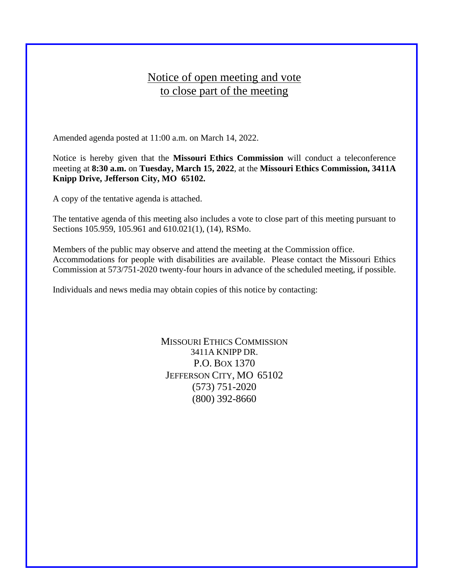## Notice of open meeting and vote to close part of the meeting

Amended agenda posted at 11:00 a.m. on March 14, 2022.

Notice is hereby given that the **Missouri Ethics Commission** will conduct a teleconference meeting at **8:30 a.m.** on **Tuesday, March 15, 2022**, at the **Missouri Ethics Commission, 3411A Knipp Drive, Jefferson City, MO 65102.**

A copy of the tentative agenda is attached.

The tentative agenda of this meeting also includes a vote to close part of this meeting pursuant to Sections 105.959, 105.961 and 610.021(1), (14), RSMo.

Members of the public may observe and attend the meeting at the Commission office. Accommodations for people with disabilities are available. Please contact the Missouri Ethics Commission at 573/751-2020 twenty-four hours in advance of the scheduled meeting, if possible.

Individuals and news media may obtain copies of this notice by contacting:

MISSOURI ETHICS COMMISSION 3411A KNIPP DR. P.O. BOX 1370 JEFFERSON CITY, MO 65102 (573) 751-2020 (800) 392-8660